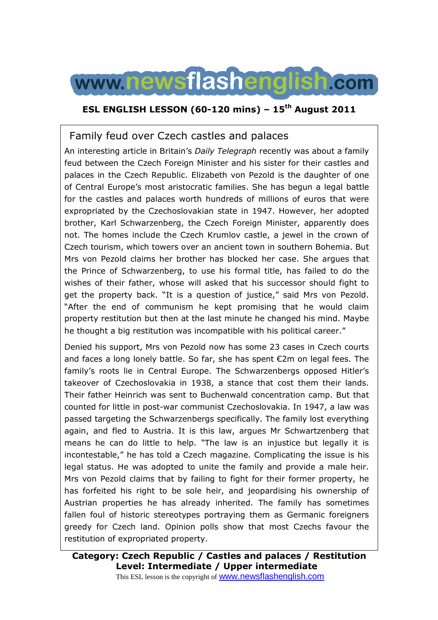

## **ESL ENGLISH LESSON (60-120 mins) – 15th August 2011**

## Family feud over Czech castles and palaces

An interesting article in Britain's *Daily Telegraph* recently was about a family feud between the Czech Foreign Minister and his sister for their castles and palaces in the Czech Republic. Elizabeth von Pezold is the daughter of one of Central Europe's most aristocratic families. She has begun a legal battle for the castles and palaces worth hundreds of millions of euros that were expropriated by the Czechoslovakian state in 1947. However, her adopted brother, Karl Schwarzenberg, the Czech Foreign Minister, apparently does not. The homes include the Czech Krumlov castle, a jewel in the crown of Czech tourism, which towers over an ancient town in southern Bohemia. But Mrs von Pezold claims her brother has blocked her case. She argues that the Prince of Schwarzenberg, to use his formal title, has failed to do the wishes of their father, whose will asked that his successor should fight to get the property back. "It is a question of justice," said Mrs von Pezold. "After the end of communism he kept promising that he would claim property restitution but then at the last minute he changed his mind. Maybe he thought a big restitution was incompatible with his political career."

Denied his support, Mrs von Pezold now has some 23 cases in Czech courts and faces a long lonely battle. So far, she has spent €2m on legal fees. The family's roots lie in Central Europe. The Schwarzenbergs opposed Hitler's takeover of Czechoslovakia in 1938, a stance that cost them their lands. Their father Heinrich was sent to Buchenwald concentration camp. But that counted for little in post-war communist Czechoslovakia. In 1947, a law was passed targeting the Schwarzenbergs specifically. The family lost everything again, and fled to Austria. It is this law, argues Mr Schwartzenberg that means he can do little to help. "The law is an injustice but legally it is incontestable," he has told a Czech magazine. Complicating the issue is his legal status. He was adopted to unite the family and provide a male heir. Mrs von Pezold claims that by failing to fight for their former property, he has forfeited his right to be sole heir, and jeopardising his ownership of Austrian properties he has already inherited. The family has sometimes fallen foul of historic stereotypes portraying them as Germanic foreigners greedy for Czech land. Opinion polls show that most Czechs favour the restitution of expropriated property.

**Category: Czech Republic / Castles and palaces / Restitution Level: Intermediate / Upper intermediate** This ESL lesson is the copyright of **WWW.newsflashenglish.com**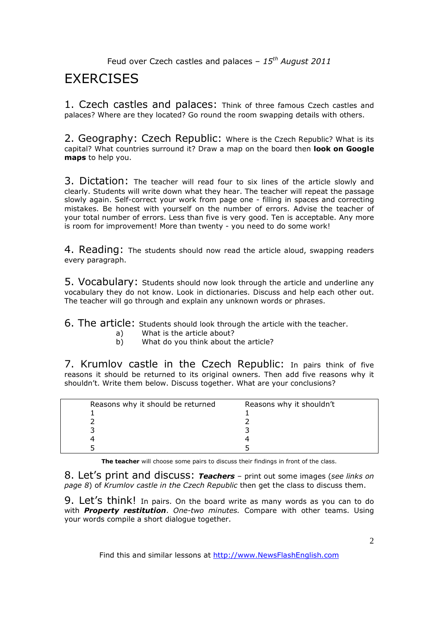# **FXFRCISES**

1. Czech castles and palaces: Think of three famous Czech castles and palaces? Where are they located? Go round the room swapping details with others.

2. Geography: Czech Republic: Where is the Czech Republic? What is its capital? What countries surround it? Draw a map on the board then **look on Google maps** to help you.

3. Dictation: The teacher will read four to six lines of the article slowly and clearly. Students will write down what they hear. The teacher will repeat the passage slowly again. Self-correct your work from page one - filling in spaces and correcting mistakes. Be honest with yourself on the number of errors. Advise the teacher of your total number of errors. Less than five is very good. Ten is acceptable. Any more is room for improvement! More than twenty - you need to do some work!

4. Reading: The students should now read the article aloud, swapping readers every paragraph.

5. Vocabulary: Students should now look through the article and underline any vocabulary they do not know. Look in dictionaries. Discuss and help each other out. The teacher will go through and explain any unknown words or phrases.

6. The article: Students should look through the article with the teacher.

- a) What is the article about?<br>b) What do you think about t
- What do you think about the article?

7. Krumlov castle in the Czech Republic: In pairs think of five reasons it should be returned to its original owners. Then add five reasons why it shouldn't. Write them below. Discuss together. What are your conclusions?

| Reasons why it should be returned | Reasons why it shouldn't |  |
|-----------------------------------|--------------------------|--|
|                                   |                          |  |
|                                   |                          |  |
|                                   |                          |  |
|                                   |                          |  |
|                                   |                          |  |

**The teacher** will choose some pairs to discuss their findings in front of the class.

8. Let's print and discuss: *Teachers* – print out some images (*see links on page 8*) of *Krumlov castle in the Czech Republic* then get the class to discuss them.

9. Let's think! In pairs. On the board write as many words as you can to do with *Property restitution*. *One-two minutes.* Compare with other teams. Using your words compile a short dialogue together.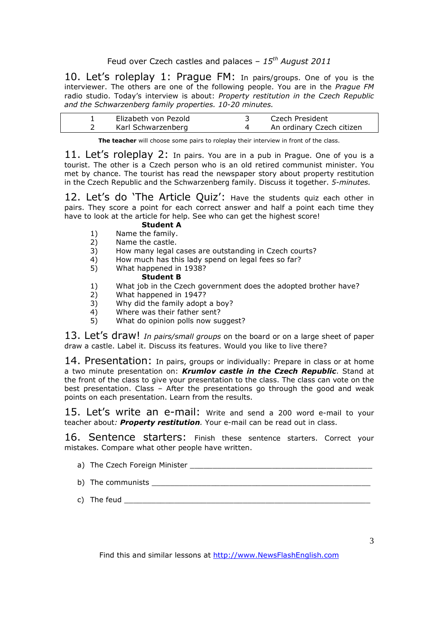10. Let's roleplay 1: Praque FM: In pairs/groups. One of you is the interviewer. The others are one of the following people. You are in the *Prague FM*  radio studio. Today's interview is about: *Property restitution in the Czech Republic and the Schwarzenberg family properties. 10-20 minutes.* 

| Elizabeth von Pezold | Czech President           |
|----------------------|---------------------------|
| Karl Schwarzenberg   | An ordinary Czech citizen |

**The teacher** will choose some pairs to roleplay their interview in front of the class.

11. Let's roleplay 2: In pairs. You are in a pub in Prague. One of you is a tourist. The other is a Czech person who is an old retired communist minister. You met by chance. The tourist has read the newspaper story about property restitution in the Czech Republic and the Schwarzenberg family. Discuss it together. *5-minutes.* 

12. Let's do 'The Article Quiz': Have the students quiz each other in pairs. They score a point for each correct answer and half a point each time they have to look at the article for help. See who can get the highest score!

#### **Student A**

- 1) Name the family.
- 2) Name the castle.
- 3) How many legal cases are outstanding in Czech courts?
- 4) How much has this lady spend on legal fees so far?<br>5) What happened in 1938?
- 5) What happened in 1938? **Student B**
- 1) What job in the Czech government does the adopted brother have?<br>2) What happened in 1947?
- 2) What happened in 1947?<br>3) Why did the family adopt
- Why did the family adopt a boy?
- 4) Where was their father sent?
- 5) What do opinion polls now suggest?

13. Let's draw! *In pairs/small groups* on the board or on a large sheet of paper draw a castle. Label it. Discuss its features. Would you like to live there?

14. Presentation: In pairs, groups or individually: Prepare in class or at home a two minute presentation on: *Krumlov castle in the Czech Republic*. Stand at the front of the class to give your presentation to the class. The class can vote on the best presentation. Class – After the presentations go through the good and weak points on each presentation. Learn from the results.

15. Let's write an e-mail: Write and send a 200 word e-mail to your teacher about*: Property restitution.* Your e-mail can be read out in class.

16. Sentence starters: Finish these sentence starters. Correct your mistakes. Compare what other people have written.

- a) The Czech Foreign Minister **Example 20** For the Czech Foreign
- b) The communists \_\_\_\_\_\_\_\_\_\_\_\_\_\_\_\_\_\_\_\_\_\_\_\_\_\_\_\_\_\_\_\_\_\_\_\_\_\_\_\_\_\_\_\_\_\_\_\_
- c) The feud  $\Box$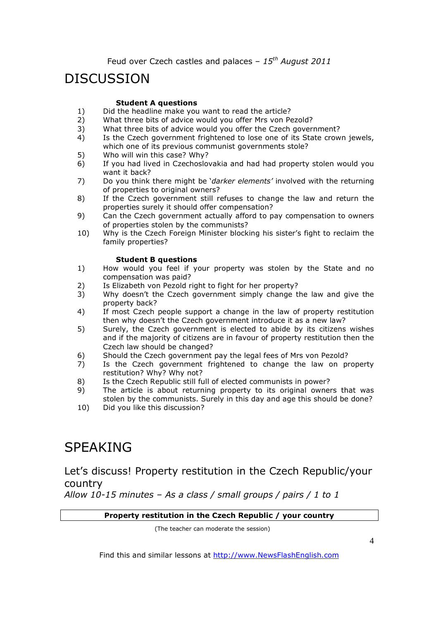# DISCUSSION

#### **Student A questions**

- 1) Did the headline make you want to read the article?<br>2) What three bits of advice would you offer Mrs yon Pe
- What three bits of advice would you offer Mrs von Pezold?
- 3) What three bits of advice would you offer the Czech government?
- 4) Is the Czech government frightened to lose one of its State crown jewels, which one of its previous communist governments stole?
- 5) Who will win this case? Why?
- 6) If you had lived in Czechoslovakia and had had property stolen would you want it back?
- 7) Do you think there might be '*darker elements'* involved with the returning of properties to original owners?
- 8) If the Czech government still refuses to change the law and return the properties surely it should offer compensation?
- 9) Can the Czech government actually afford to pay compensation to owners of properties stolen by the communists?
- 10) Why is the Czech Foreign Minister blocking his sister's fight to reclaim the family properties?

#### **Student B questions**

- 1) How would you feel if your property was stolen by the State and no compensation was paid?
- 2) Is Elizabeth von Pezold right to fight for her property?
- 3) Why doesn't the Czech government simply change the law and give the property back?
- 4) If most Czech people support a change in the law of property restitution then why doesn't the Czech government introduce it as a new law?
- 5) Surely, the Czech government is elected to abide by its citizens wishes and if the majority of citizens are in favour of property restitution then the Czech law should be changed?
- 6) Should the Czech government pay the legal fees of Mrs von Pezold?
- 7) Is the Czech government frightened to change the law on property restitution? Why? Why not?
- 8) Is the Czech Republic still full of elected communists in power?
- 9) The article is about returning property to its original owners that was stolen by the communists. Surely in this day and age this should be done?
- 10) Did you like this discussion?

# SPEAKING

## Let's discuss! Property restitution in the Czech Republic/your country

*Allow 10-15 minutes – As a class / small groups / pairs / 1 to 1*

#### **Property restitution in the Czech Republic / your country**

(The teacher can moderate the session)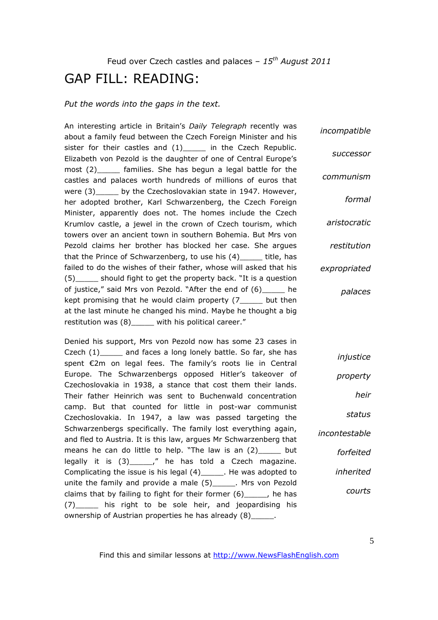# GAP FILL: READING:

#### *Put the words into the gaps in the text.*

An interesting article in Britain's *Daily Telegraph* recently was about a family feud between the Czech Foreign Minister and his sister for their castles and (1) in the Czech Republic. Elizabeth von Pezold is the daughter of one of Central Europe's most (2) families. She has begun a legal battle for the castles and palaces worth hundreds of millions of euros that were (3) by the Czechoslovakian state in 1947. However, her adopted brother, Karl Schwarzenberg, the Czech Foreign Minister, apparently does not. The homes include the Czech Krumlov castle, a jewel in the crown of Czech tourism, which towers over an ancient town in southern Bohemia. But Mrs von Pezold claims her brother has blocked her case. She argues that the Prince of Schwarzenberg, to use his (4)\_\_\_\_\_ title, has failed to do the wishes of their father, whose will asked that his (5)\_\_\_\_\_ should fight to get the property back. "It is a question of justice," said Mrs von Pezold. "After the end of (6)\_\_\_\_\_ he kept promising that he would claim property (7\_\_\_\_\_ but then at the last minute he changed his mind. Maybe he thought a big restitution was (8)\_\_\_\_\_ with his political career." *incompatible successor communism formal aristocratic restitution expropriated palaces*

Denied his support, Mrs von Pezold now has some 23 cases in Czech (1)\_\_\_\_\_ and faces a long lonely battle. So far, she has spent €2m on legal fees. The family's roots lie in Central Europe. The Schwarzenbergs opposed Hitler's takeover of Czechoslovakia in 1938, a stance that cost them their lands. Their father Heinrich was sent to Buchenwald concentration camp. But that counted for little in post-war communist Czechoslovakia. In 1947, a law was passed targeting the Schwarzenbergs specifically. The family lost everything again, and fled to Austria. It is this law, argues Mr Schwarzenberg that means he can do little to help. "The law is an (2)\_\_\_\_\_ but legally it is (3)\_\_\_\_\_," he has told a Czech magazine. Complicating the issue is his legal (4)\_\_\_\_\_. He was adopted to unite the family and provide a male (5)\_\_\_\_\_\_. Mrs von Pezold claims that by failing to fight for their former (6)\_\_\_\_\_, he has (7)\_\_\_\_\_ his right to be sole heir, and jeopardising his ownership of Austrian properties he has already (8)\_\_\_\_\_. *injustice*

*property heir status incontestable forfeited inherited courts*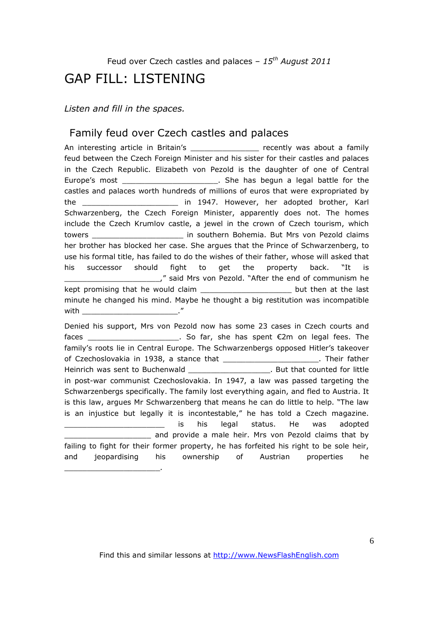## GAP FILL: LISTENING

*Listen and fill in the spaces.* 

\_\_\_\_\_\_\_\_\_\_\_\_\_\_\_\_\_\_\_\_\_.

### Family feud over Czech castles and palaces

An interesting article in Britain's \_\_\_\_\_\_\_\_\_\_\_\_\_\_\_\_\_ recently was about a family feud between the Czech Foreign Minister and his sister for their castles and palaces in the Czech Republic. Elizabeth von Pezold is the daughter of one of Central Europe's most \_\_\_\_\_\_\_\_\_\_\_\_\_\_\_\_\_\_\_\_\_\_\_\_. She has begun a legal battle for the castles and palaces worth hundreds of millions of euros that were expropriated by the the the controller in 1947. However, her adopted brother, Karl Schwarzenberg, the Czech Foreign Minister, apparently does not. The homes include the Czech Krumlov castle, a jewel in the crown of Czech tourism, which towers \_\_\_\_\_\_\_\_\_\_\_\_\_\_\_\_\_\_\_\_ in southern Bohemia. But Mrs von Pezold claims her brother has blocked her case. She argues that the Prince of Schwarzenberg, to use his formal title, has failed to do the wishes of their father, whose will asked that his successor should fight to get the property back. "It is \_\_\_\_\_\_\_\_\_\_\_\_\_\_\_\_\_\_\_\_\_," said Mrs von Pezold. "After the end of communism he kept promising that he would claim \_\_\_\_\_\_\_\_\_\_\_\_\_\_\_\_\_\_\_\_\_\_\_\_\_\_ but then at the last minute he changed his mind. Maybe he thought a big restitution was incompatible  $with$ 

Denied his support, Mrs von Pezold now has some 23 cases in Czech courts and faces \_\_\_\_\_\_\_\_\_\_\_\_\_\_\_\_\_\_\_\_. So far, she has spent €2m on legal fees. The family's roots lie in Central Europe. The Schwarzenbergs opposed Hitler's takeover of Czechoslovakia in 1938, a stance that \_\_\_\_\_\_\_\_\_\_\_\_\_\_\_\_\_\_\_\_\_. Their father Heinrich was sent to Buchenwald \_\_\_\_\_\_\_\_\_\_\_\_\_\_\_\_\_\_. But that counted for little in post-war communist Czechoslovakia. In 1947, a law was passed targeting the Schwarzenbergs specifically. The family lost everything again, and fled to Austria. It is this law, argues Mr Schwarzenberg that means he can do little to help. "The law is an injustice but legally it is incontestable," he has told a Czech magazine. is his legal status. He was adopted and provide a male heir. Mrs von Pezold claims that by failing to fight for their former property, he has forfeited his right to be sole heir, and jeopardising his ownership of Austrian properties he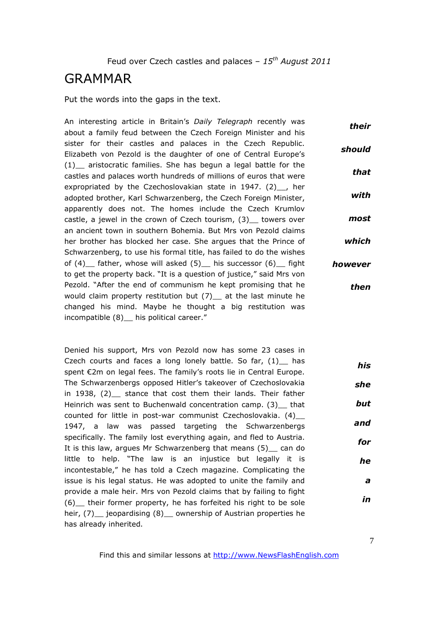## GRAMMAR

Put the words into the gaps in the text.

An interesting article in Britain's *Daily Telegraph* recently was about a family feud between the Czech Foreign Minister and his sister for their castles and palaces in the Czech Republic. Elizabeth von Pezold is the daughter of one of Central Europe's (1)\_\_ aristocratic families. She has begun a legal battle for the castles and palaces worth hundreds of millions of euros that were expropriated by the Czechoslovakian state in 1947. (2) , her adopted brother, Karl Schwarzenberg, the Czech Foreign Minister, apparently does not. The homes include the Czech Krumlov castle, a jewel in the crown of Czech tourism, (3)\_\_ towers over an ancient town in southern Bohemia. But Mrs von Pezold claims her brother has blocked her case. She argues that the Prince of Schwarzenberg, to use his formal title, has failed to do the wishes of  $(4)$  father, whose will asked  $(5)$  his successor  $(6)$  fight to get the property back. "It is a question of justice," said Mrs von Pezold. "After the end of communism he kept promising that he would claim property restitution but (7) at the last minute he changed his mind. Maybe he thought a big restitution was incompatible (8) his political career." *their should that with most which however then*

Denied his support, Mrs von Pezold now has some 23 cases in Czech courts and faces a long lonely battle. So far,  $(1)$  has spent €2m on legal fees. The family's roots lie in Central Europe. The Schwarzenbergs opposed Hitler's takeover of Czechoslovakia in 1938, (2) stance that cost them their lands. Their father Heinrich was sent to Buchenwald concentration camp. (3) that counted for little in post-war communist Czechoslovakia. (4)\_\_ 1947, a law was passed targeting the Schwarzenbergs specifically. The family lost everything again, and fled to Austria. It is this law, argues Mr Schwarzenberg that means (5) can do little to help. "The law is an injustice but legally it is incontestable," he has told a Czech magazine. Complicating the issue is his legal status. He was adopted to unite the family and provide a male heir. Mrs von Pezold claims that by failing to fight (6)\_\_ their former property, he has forfeited his right to be sole heir, (7) jeopardising (8) ownership of Austrian properties he has already inherited. *his she but and for he a in*